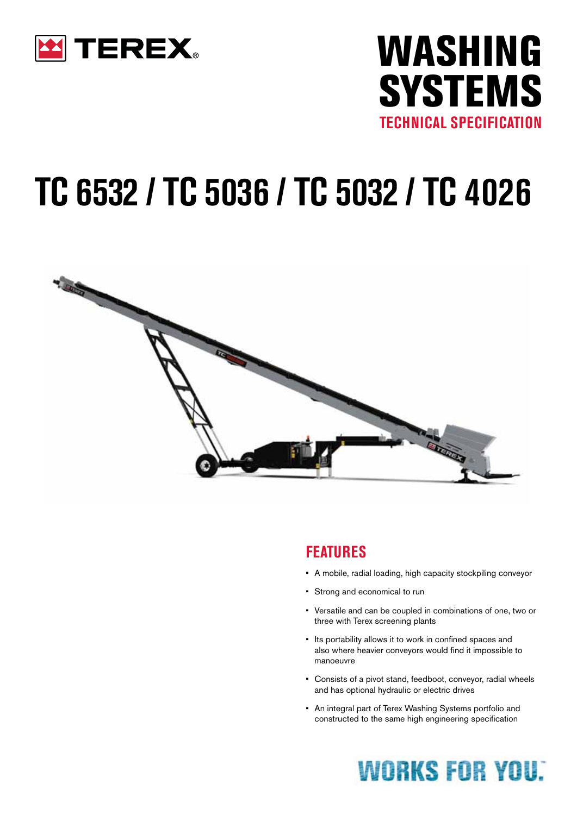



# **TC 6532 / tc 5036 / tc 5032 / tc 4026**



#### **FEATURES**

- • A mobile, radial loading, high capacity stockpiling conveyor
- • Strong and economical to run
- • Versatile and can be coupled in combinations of one, two or three with Terex screening plants
- • Its portability allows it to work in confined spaces and also where heavier conveyors would find it impossible to manoeuvre
- Consists of a pivot stand, feedboot, conveyor, radial wheels and has optional hydraulic or electric drives
- • An integral part of Terex Washing Systems portfolio and constructed to the same high engineering specification

## **WORKS FOR YOU:**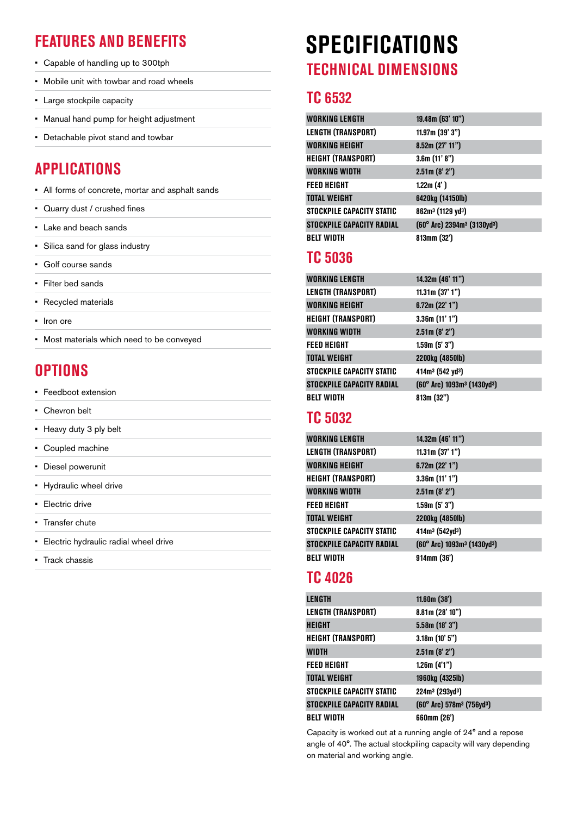- • Capable of handling up to 300tph
- • Mobile unit with towbar and road wheels
- • Large stockpile capacity
- • Manual hand pump for height adjustment
- • Detachable pivot stand and towbar

#### **Applications**

- • All forms of concrete, mortar and asphalt sands
- • Quarry dust / crushed fines
- • Lake and beach sands
- • Silica sand for glass industry
- • Golf course sands
- • Filter bed sands
- • Recycled materials
- Iron ore
- • Most materials which need to be conveyed

#### **Options**

- • Feedboot extension
- • Chevron belt
- Heavy duty 3 ply belt
- Coupled machine
- • Diesel powerunit
- • Hydraulic wheel drive
- • Electric drive
- Transfer chute
- • Electric hydraulic radial wheel drive
- • Track chassis

## **SPECIFICATIONS Features and Benefits Technical dimensions**

#### **TC 6532**

| <b>WORKING LENGTH</b>            | 19.48m (63' 10")                                             |
|----------------------------------|--------------------------------------------------------------|
| <b>LENGTH (TRANSPORT)</b>        | 11.97m(39'3")                                                |
| <b>WORKING HEIGHT</b>            | 8.52m (27' 11")                                              |
| <b>HEIGHT (TRANSPORT)</b>        | 3.6m(11' 8")                                                 |
| WORKING WIDTH                    | 2.51m (8' 2")                                                |
| <b>FEED HEIGHT</b>               | 1.22m $(4')$                                                 |
| <b>TOTAL WEIGHT</b>              | 6420kg (14150lb)                                             |
| STOCKPILE CAPACITY STATIC        | 862m <sup>3</sup> (1129 yd <sup>3</sup> )                    |
| <b>STOCKPILE CAPACITY RADIAL</b> | $(60^{\circ}$ Arc) 2394m <sup>3</sup> (3130yd <sup>3</sup> ) |
| <b>BELT WIDTH</b>                | 813mm (32')                                                  |

#### **TC 5036**

| <b>WORKING LENGTH</b>            | 14.32m (46' 11")                                    |
|----------------------------------|-----------------------------------------------------|
| <b>LENGTH (TRANSPORT)</b>        | 11.31m $(37' 1'')$                                  |
| WORKING HEIGHT                   | 6.72m $(22' 1'')$                                   |
| <b>HEIGHT (TRANSPORT)</b>        | 3.36m(11'1")                                        |
| <b>WORKING WIDTH</b>             | 2.51m (8' 2")                                       |
| <b>FEED HEIGHT</b>               | 1.59m (5' 3'')                                      |
| <b>TOTAL WEIGHT</b>              | 2200kg (4850lb)                                     |
| STOCKPILE CAPACITY STATIC        | $414m3$ (542 yd <sup>3</sup> )                      |
| <b>STOCKPILE CAPACITY RADIAL</b> | (60° Arc) 1093m <sup>3</sup> (1430yd <sup>3</sup> ) |
| <b>BELT WIDTH</b>                | 813m (32")                                          |

#### **TC 5032**

| <b>WORKING LENGTH</b>            | 14.32m (46' 11")                                    |
|----------------------------------|-----------------------------------------------------|
| <b>LENGTH (TRANSPORT)</b>        | 11.31m $(37' 1'')$                                  |
| <b>WORKING HEIGHT</b>            | 6.72m(22'1")                                        |
| <b>HEIGHT (TRANSPORT)</b>        | 3.36m(11'1")                                        |
| WORKING WIDTH                    | 2.51m (8' 2")                                       |
| <b>FEED HEIGHT</b>               | 1.59m (5' 3'')                                      |
| <b>TOTAL WEIGHT</b>              | 2200kg (4850lb)                                     |
| STOCKPILE CAPACITY STATIC        | 414m <sup>3</sup> (542yd <sup>3</sup> )             |
| <b>STOCKPILE CAPACITY RADIAL</b> | (60° Arc) 1093m <sup>3</sup> (1430yd <sup>3</sup> ) |
| <b>BELT WIDTH</b>                | 914mm (36')                                         |
|                                  |                                                     |

#### **TC 4026**

| LENGTH                           | 11.60m(38')                                       |
|----------------------------------|---------------------------------------------------|
| <b>LENGTH (TRANSPORT)</b>        | 8.81m(28'10")                                     |
| HEIGHT                           | 5.58m(18'3")                                      |
| <b>HEIGHT (TRANSPORT)</b>        | 3.18m(10'5'')                                     |
| WIDTH                            | 2.51m (8' 2")                                     |
| <b>FEED HEIGHT</b>               | 1.26m (4'1'')                                     |
| <b>TOTAL WEIGHT</b>              | 1960kg (4325lb)                                   |
| STOCKPILE CAPACITY STATIC        | $224m^3 (293yd^3)$                                |
| <b>STOCKPILE CAPACITY RADIAL</b> | (60° Arc) 578m <sup>3</sup> (756yd <sup>3</sup> ) |
| <b>BELT WIDTH</b>                | 660mm (26')                                       |

Capacity is worked out at a running angle of 24° and a repose angle of 40°. The actual stockpiling capacity will vary depending on material and working angle.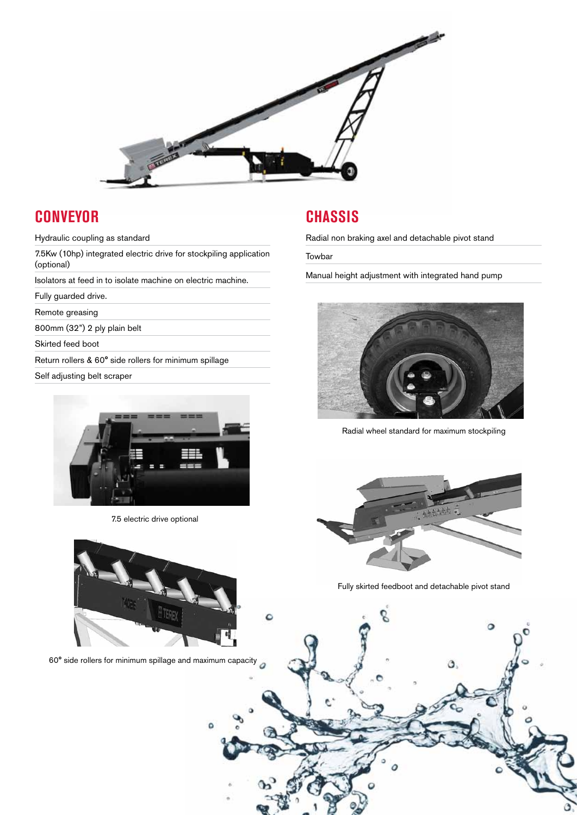

C

#### **Conveyor**

Hydraulic coupling as standard

7.5Kw (10hp) integrated electric drive for stockpiling application (optional)

Isolators at feed in to isolate machine on electric machine.

Fully guarded drive.

Remote greasing

800mm (32") 2 ply plain belt

Skirted feed boot

Return rollers & 60° side rollers for minimum spillage

Self adjusting belt scraper



7.5 electric drive optional

#### **Chassis**

Radial non braking axel and detachable pivot stand

Towbar

Manual height adjustment with integrated hand pump



Radial wheel standard for maximum stockpiling



Fully skirted feedboot and detachable pivot stand



60° side rollers for minimum spillage and maximum capacity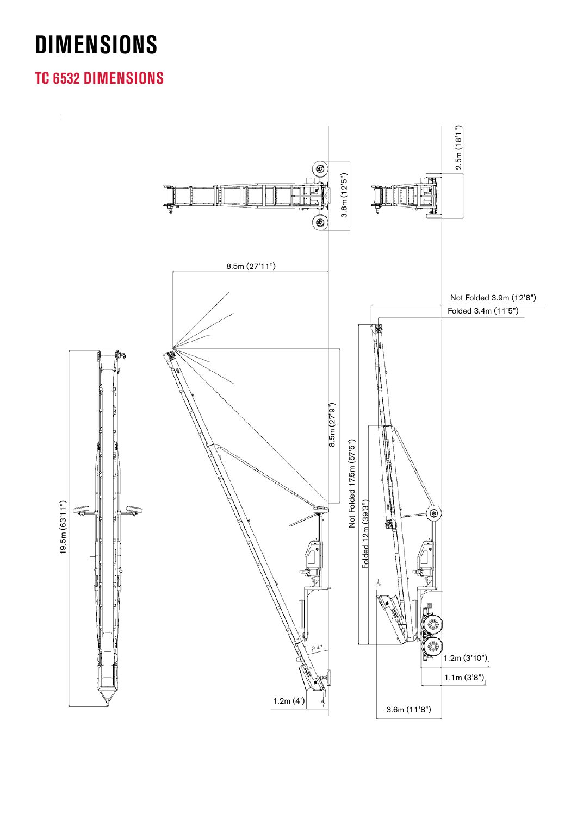## **DIMENSIONS**

#### **tc 6532 dimensions**

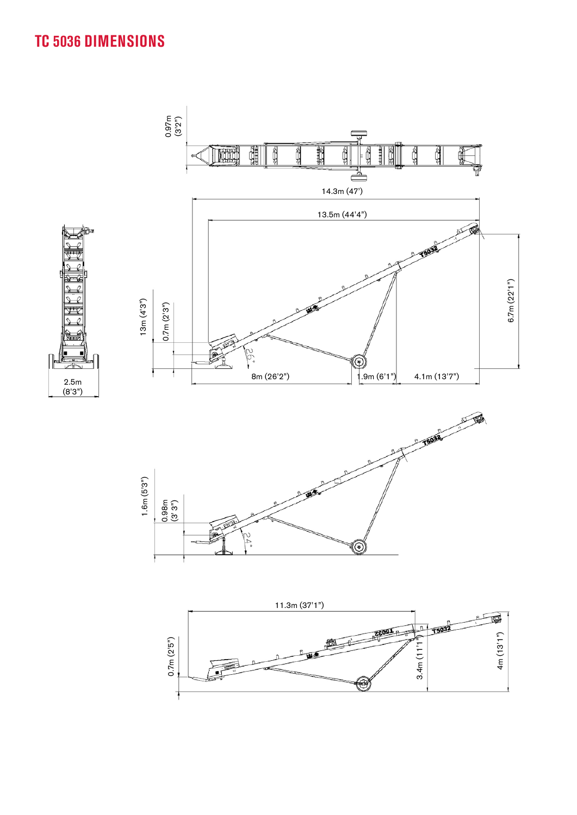### **tc 5036 dimensions**





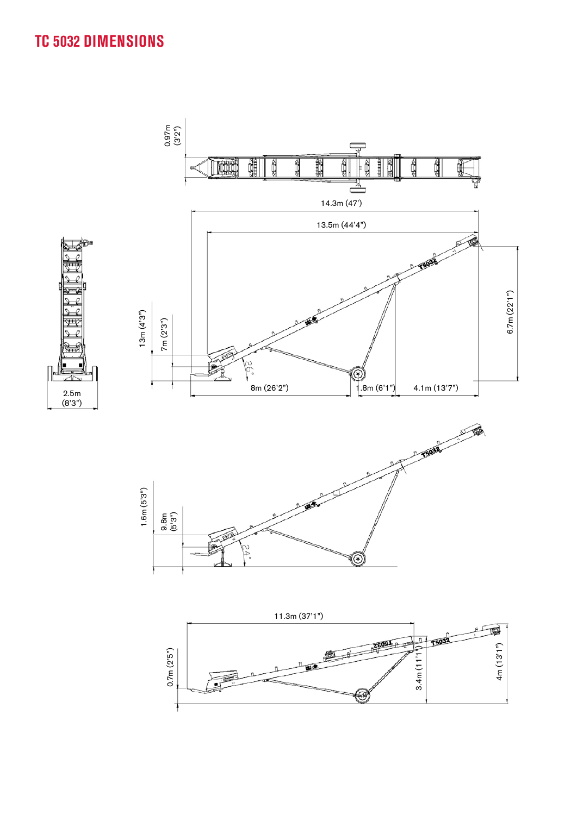#### **tc 5032 dimensions**



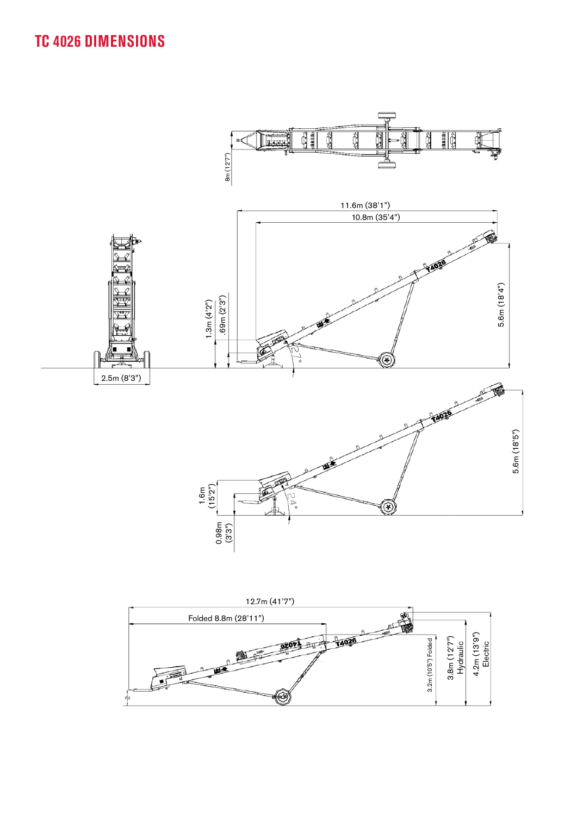### **tc 4026 dimensions**



![](_page_6_Figure_2.jpeg)

![](_page_6_Figure_3.jpeg)